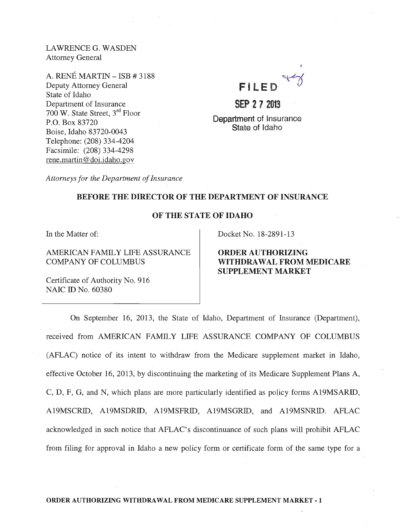LAWRENCE G. WASDEN Attorney General

A. RENE MARTIN - ISB # 3188 Deputy Attorney General State of Idaho Department of Insurance 700 W. State Street, 3rd Floor P.O. Box 83720 Boise, Idaho 83720-0043 Telephone: (208) 334-4204 Facsimile: (208) 334-4298 rene.martin @doi.idaho.gov



SEP 2 7 2013

Department of Insurance State of Idaho

*Attorneys for the Department of Insurance* 

## BEFORE THE DIRECTOR OF THE DEPARTMENT OF INSURANCE

## OF THE STATE OF IDAHO

In the Matter of:

AMERICAN FAMILY LIFE ASSURANCE COMPANY OF COLUMBUS

Certificate of Authority No. 916 NAIC ID No. 60380

Docket No. 18-2891-13

ORDER AUTHORIZING WITHDRAWAL FROM MEDICARE SUPPLEMENT MARKET

. On September 16, 2013, the State of Idaho, Department of Insurance (Department), received from AMERICAN FAMILY LIFE ASSURANCE COMPANY OF COLUMBUS (AFLAC) notice of its intent to withdraw from the Medicare supplement market in Idaho, effective October 16, 2013, by discontinuing the marketing of its Medicare Supplement Plans A, C, D, F, G, and N, which plans are more particularly identified as policy forms A19MSARID, A19MSCRID, A19MSDRID, A19MSFRID, A19MSGRID, and A19MSNRID. AFLAC acknowledged in such notice that AFLAC's discontinuance of such plans will prohibit AFLAC from filing for approval in Idaho a new policy form or certificate form of the same type for a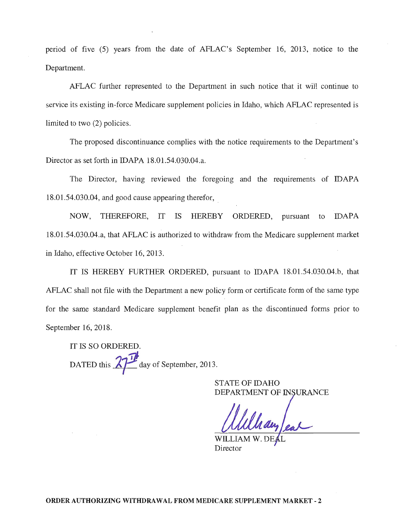period of five (5) years from the date of AFLAC's September 16, 2013, notice to the Department.

AFLAC further represented to the Department in such notice that it will continue to service its existing in-force Medicare supplement policies in Idaho, which AFLAC represented is limited to two (2) policies.

The proposed discontinuance complies with the notice requirements to the Department's Director as set forth in IDAPA 18.01.54.030.04.a.

The Director, having reviewed the foregoing and the requirements of IDAPA 18.01.54.030.04, and good cause appearing therefor, .

NOW, THEREFORE, IT IS HEREBY ORDERED, pursuant to IDAPA 18.01.54.030.04.a, that AFLAC is authorized to withdraw from the Medicare supplement market in Idaho, effective October 16,2013.

IT IS HEREBY FURTHER ORDERED, pursuant to IDAPA 18.01.54.030.04.b, that AFLAC shall not file with the Department a new policy form or certificate form of the same type for the same standard Medicare supplement benefit plan as the discontinued forms prior to September 16, 2018.

IT IS SO ORDERED. DATED this  $21'$  day of September, 2013.

> STATE OF IDAHO DEPARTMENT OF INSURANCE

 $W\Pi$ Director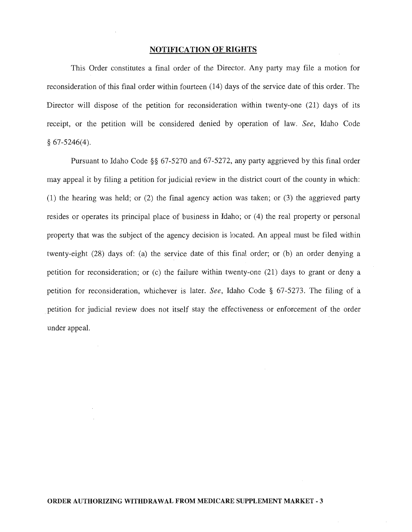## **NOTIFICATION OF RIGHTS**

This Order constitutes a final order of the Director. Any party may file a motion for reconsideration of this final order within fourteen (14) days of the service date of this order. The Director will dispose of the petition for reconsideration within twenty-one (21) days of its receipt, or the petition will be considered denied by operation of law. *See,* Idaho Code  $§ 67-5246(4).$ 

Pursuant to Idaho Code §§ 67-5270 and 67-5272, any party aggrieved by this final order may appeal it by filing a petition for judicial review in the district court of the county in which: (1) the hearing was held; or (2) the final agency action was taken; or (3) the aggrieved party resides or operates its principal place of business in Idaho; or (4) the real property or personal property that was the subject of the agency decision is located. An appeal must be filed within twenty-eight (28) days of: (a) the service date of this final order; or (b) an order denying a petition for reconsideration; or (c) the failure within twenty-one (21) days to grant or deny a petition for reconsideration, whichever is later. *See,* Idaho Code § 67-5273. The filing of a . petition for judicial review does not itself stay the effectiveness or enforcement of the order under appeal.